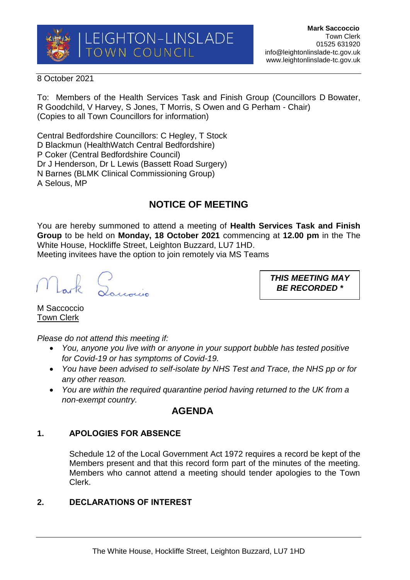

### 8 October 2021

To: Members of the Health Services Task and Finish Group (Councillors D Bowater, R Goodchild, V Harvey, S Jones, T Morris, S Owen and G Perham - Chair) (Copies to all Town Councillors for information)

Central Bedfordshire Councillors: C Hegley, T Stock D Blackmun (HealthWatch Central Bedfordshire) P Coker (Central Bedfordshire Council) Dr J Henderson, Dr L Lewis (Bassett Road Surgery) N Barnes (BLMK Clinical Commissioning Group) A Selous, MP

# **NOTICE OF MEETING**

You are hereby summoned to attend a meeting of **Health Services Task and Finish Group** to be held on **Monday, 18 October 2021** commencing at **12.00 pm** in the The White House, Hockliffe Street, Leighton Buzzard, LU7 1HD. Meeting invitees have the option to join remotely via MS Teams

Lark Lourois

*THIS MEETING MAY BE RECORDED \**

M Saccoccio Town Clerk

*Please do not attend this meeting if:*

- *You, anyone you live with or anyone in your support bubble has tested positive for Covid-19 or has symptoms of Covid-19.*
- *You have been advised to self-isolate by NHS Test and Trace, the NHS pp or for any other reason.*
- *You are within the required quarantine period having returned to the UK from a non-exempt country.*

## **AGENDA**

## **1. APOLOGIES FOR ABSENCE**

Schedule 12 of the Local Government Act 1972 requires a record be kept of the Members present and that this record form part of the minutes of the meeting. Members who cannot attend a meeting should tender apologies to the Town Clerk.

## **2. DECLARATIONS OF INTEREST**